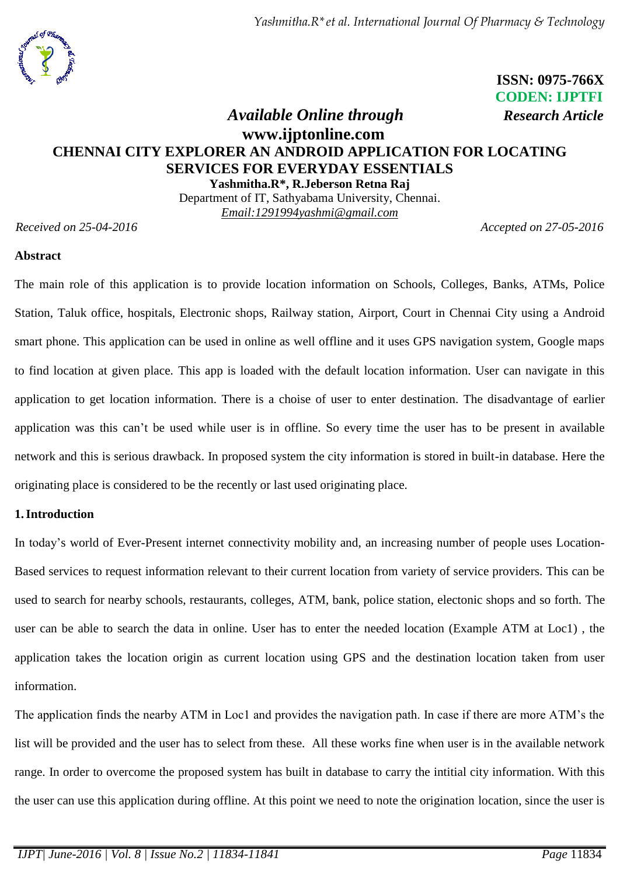*Yashmitha.R\*et al. International Journal Of Pharmacy & Technology*



 **ISSN: 0975-766X CODEN: IJPTFI**

# *Available Online through Research Article* **www.ijptonline.com CHENNAI CITY EXPLORER AN ANDROID APPLICATION FOR LOCATING SERVICES FOR EVERYDAY ESSENTIALS Yashmitha.R\*, R.Jeberson Retna Raj**

Department of IT, Sathyabama University, Chennai. *Email[:1291994yashmi@gmail.com](mailto:1291994yashmi@gmail.com)*

*Received on 25-04-2016 Accepted on 27-05-2016*

#### **Abstract**

The main role of this application is to provide location information on Schools, Colleges, Banks, ATMs, Police Station, Taluk office, hospitals, Electronic shops, Railway station, Airport, Court in Chennai City using a Android smart phone. This application can be used in online as well offline and it uses GPS navigation system, Google maps to find location at given place. This app is loaded with the default location information. User can navigate in this application to get location information. There is a choise of user to enter destination. The disadvantage of earlier application was this can't be used while user is in offline. So every time the user has to be present in available network and this is serious drawback. In proposed system the city information is stored in built-in database. Here the originating place is considered to be the recently or last used originating place.

## **1.Introduction**

In today's world of Ever-Present internet connectivity mobility and, an increasing number of people uses Location-Based services to request information relevant to their current location from variety of service providers. This can be used to search for nearby schools, restaurants, colleges, ATM, bank, police station, electonic shops and so forth. The user can be able to search the data in online. User has to enter the needed location (Example ATM at Loc1) , the application takes the location origin as current location using GPS and the destination location taken from user information.

The application finds the nearby ATM in Loc1 and provides the navigation path. In case if there are more ATM's the list will be provided and the user has to select from these. All these works fine when user is in the available network range. In order to overcome the proposed system has built in database to carry the intitial city information. With this the user can use this application during offline. At this point we need to note the origination location, since the user is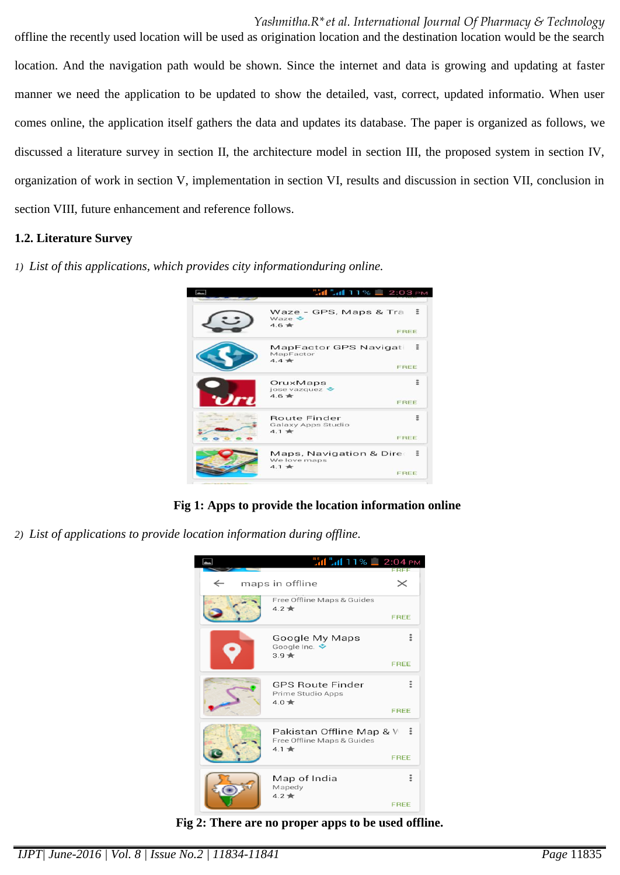*Yashmitha.R\*et al. International Journal Of Pharmacy & Technology*

offline the recently used location will be used as origination location and the destination location would be the search location. And the navigation path would be shown. Since the internet and data is growing and updating at faster manner we need the application to be updated to show the detailed, vast, correct, updated informatio. When user comes online, the application itself gathers the data and updates its database. The paper is organized as follows, we discussed a literature survey in section II, the architecture model in section III, the proposed system in section IV, organization of work in section V, implementation in section VI, results and discussion in section VII, conclusion in section VIII, future enhancement and reference follows.

## **1.2. Literature Survey**

*1) List of this applications, which provides city informationduring online.*



**Fig 1: Apps to provide the location information online**

*2) List of applications to provide location information during offline.*



**Fig 2: There are no proper apps to be used offline.**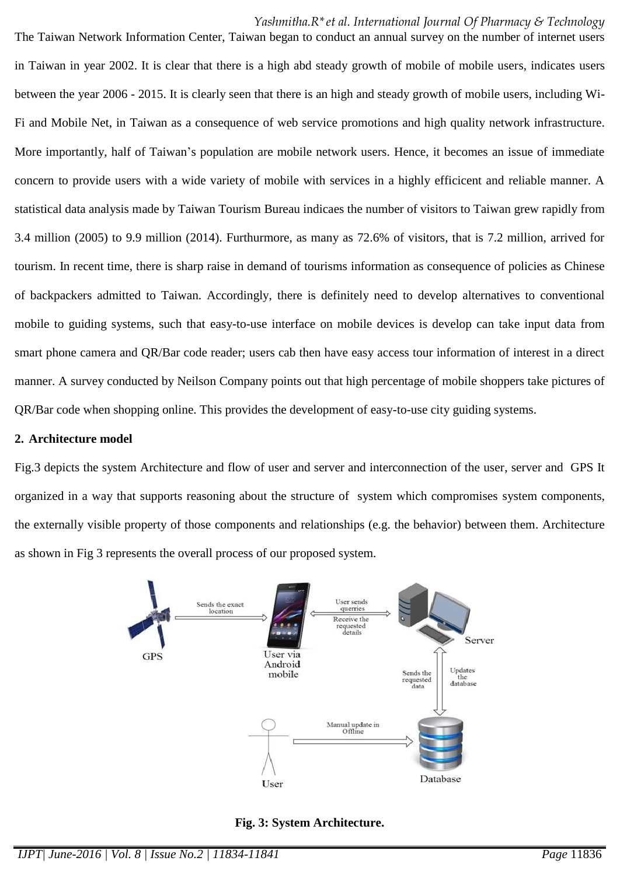#### *Yashmitha.R\*et al. International Journal Of Pharmacy & Technology*

The Taiwan Network Information Center, Taiwan began to conduct an annual survey on the number of internet users in Taiwan in year 2002. It is clear that there is a high abd steady growth of mobile of mobile users, indicates users between the year 2006 - 2015. It is clearly seen that there is an high and steady growth of mobile users, including Wi-Fi and Mobile Net, in Taiwan as a consequence of web service promotions and high quality network infrastructure. More importantly, half of Taiwan's population are mobile network users. Hence, it becomes an issue of immediate concern to provide users with a wide variety of mobile with services in a highly efficicent and reliable manner. A statistical data analysis made by Taiwan Tourism Bureau indicaes the number of visitors to Taiwan grew rapidly from 3.4 million (2005) to 9.9 million (2014). Furthurmore, as many as 72.6% of visitors, that is 7.2 million, arrived for tourism. In recent time, there is sharp raise in demand of tourisms information as consequence of policies as Chinese of backpackers admitted to Taiwan. Accordingly, there is definitely need to develop alternatives to conventional mobile to guiding systems, such that easy-to-use interface on mobile devices is develop can take input data from smart phone camera and QR/Bar code reader; users cab then have easy access tour information of interest in a direct manner. A survey conducted by Neilson Company points out that high percentage of mobile shoppers take pictures of QR/Bar code when shopping online. This provides the development of easy-to-use city guiding systems.

#### **2. Architecture model**

Fig.3 depicts the system Architecture and flow of user and server and interconnection of the user, server and GPS It organized in a way that supports reasoning about the structure of system which compromises system components, the externally visible property of those components and relationships (e.g. the behavior) between them. Architecture as shown in Fig 3 represents the overall process of our proposed system.



**Fig. 3: System Architecture.**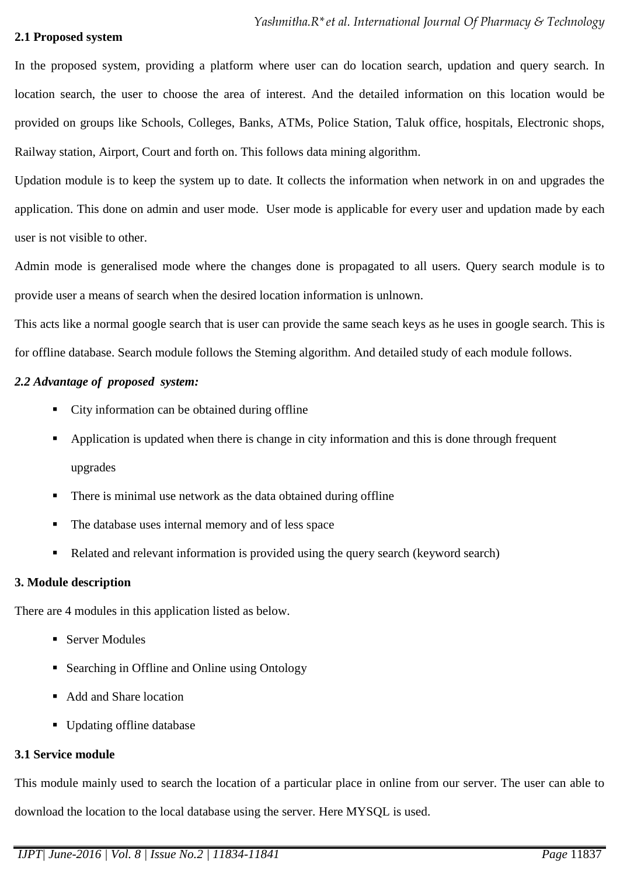#### **2.1 Proposed system**

In the proposed system, providing a platform where user can do location search, updation and query search. In location search, the user to choose the area of interest. And the detailed information on this location would be provided on groups like Schools, Colleges, Banks, ATMs, Police Station, Taluk office, hospitals, Electronic shops, Railway station, Airport, Court and forth on. This follows data mining algorithm.

Updation module is to keep the system up to date. It collects the information when network in on and upgrades the application. This done on admin and user mode. User mode is applicable for every user and updation made by each user is not visible to other.

Admin mode is generalised mode where the changes done is propagated to all users. Query search module is to provide user a means of search when the desired location information is unlnown.

This acts like a normal google search that is user can provide the same seach keys as he uses in google search. This is for offline database. Search module follows the Steming algorithm. And detailed study of each module follows.

## *2.2 Advantage of proposed system:*

- City information can be obtained during offline
- Application is updated when there is change in city information and this is done through frequent upgrades
- There is minimal use network as the data obtained during offline
- The database uses internal memory and of less space
- Related and relevant information is provided using the query search (keyword search)

## **3. Module description**

There are 4 modules in this application listed as below.

- Server Modules
- Searching in Offline and Online using Ontology
- Add and Share location
- Updating offline database

## **3.1 Service module**

This module mainly used to search the location of a particular place in online from our server. The user can able to download the location to the local database using the server. Here MYSQL is used.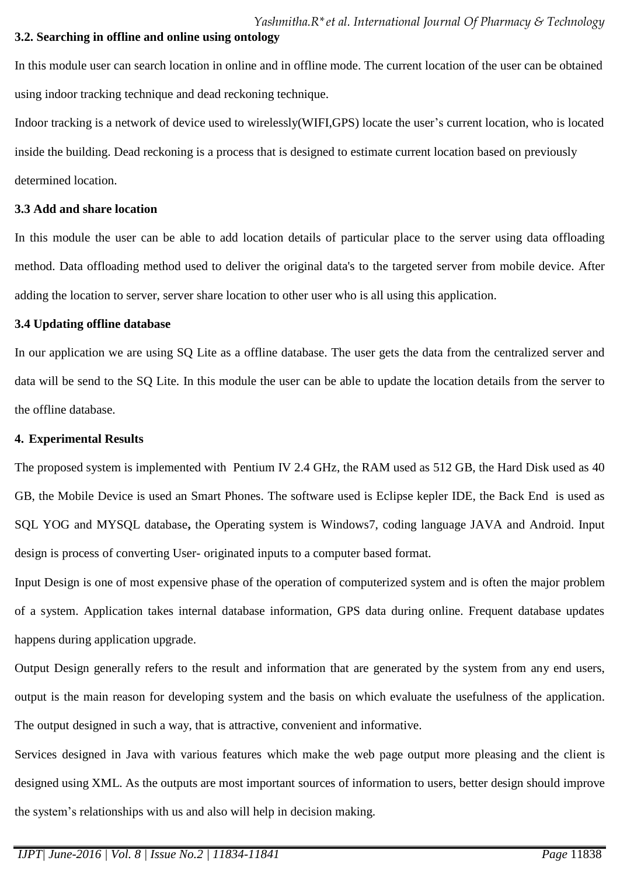## **3.2. Searching in offline and online using ontology**

In this module user can search location in online and in offline mode. The current location of the user can be obtained using indoor tracking technique and dead reckoning technique.

Indoor tracking is a network of device used to wirelessly(WIFI,GPS) locate the user's current location, who is located inside the building. Dead reckoning is a process that is designed to estimate current location based on previously determined location.

#### **3.3 Add and share location**

In this module the user can be able to add location details of particular place to the server using data offloading method. Data offloading method used to deliver the original data's to the targeted server from mobile device. After adding the location to server, server share location to other user who is all using this application.

#### **3.4 Updating offline database**

In our application we are using SQ Lite as a offline database. The user gets the data from the centralized server and data will be send to the SQ Lite. In this module the user can be able to update the location details from the server to the offline database.

#### **4. Experimental Results**

The proposed system is implemented with Pentium IV 2.4 GHz, the RAM used as 512 GB, the Hard Disk used as 40 GB, the Mobile Device is used an Smart Phones. The software used is Eclipse kepler IDE, the Back End is used as SQL YOG and MYSQL database**,** the Operating system is Windows7, coding language JAVA and Android. Input design is process of converting User- originated inputs to a computer based format.

Input Design is one of most expensive phase of the operation of computerized system and is often the major problem of a system. Application takes internal database information, GPS data during online. Frequent database updates happens during application upgrade.

Output Design generally refers to the result and information that are generated by the system from any end users, output is the main reason for developing system and the basis on which evaluate the usefulness of the application. The output designed in such a way, that is attractive, convenient and informative.

Services designed in Java with various features which make the web page output more pleasing and the client is designed using XML. As the outputs are most important sources of information to users, better design should improve the system's relationships with us and also will help in decision making.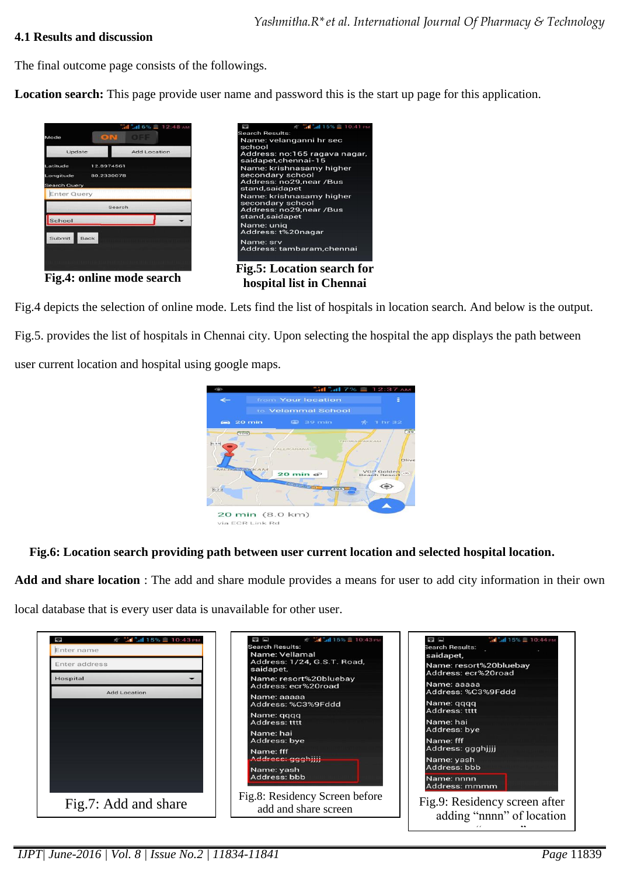### **4.1 Results and discussion**

The final outcome page consists of the followings.

**Location search:** This page provide user name and password this is the start up page for this application.



Fig.4 depicts the selection of online mode. Lets find the list of hospitals in location search. And below is the output. Fig.5. provides the list of hospitals in Chennai city. Upon selecting the hospital the app displays the path between user current location and hospital using google maps.



**Fig.6: Location search providing path between user current location and selected hospital location.**

**Add and share location** : The add and share module provides a means for user to add city information in their own local database that is every user data is unavailable for other user.

| 3 "I 4 15% 10:43 PM<br>Enter name | 术 3 3d 3d 15% ■ 10:43 PM<br><b>See 1989</b><br>Search Results:<br>Name: Vellamal | <b>H</b> 4 15% 10:44 PM<br>$\Rightarrow$ $\blacksquare$<br>Search Results:<br>saidapet, |
|-----------------------------------|----------------------------------------------------------------------------------|-----------------------------------------------------------------------------------------|
| Enter address                     | Address: 1/24, G.S.T. Road,<br>saidapet,                                         | Name: resort%20bluebay<br>Address: ecr%20road                                           |
| Hospital                          | Name: resort%20bluebay<br>Address: ecr%20road                                    | Name: aaaaa<br>Address: %C3%9Fddd                                                       |
| <b>Add Location</b>               | Name: aaaaa<br>Address: %C3%9Fddd                                                | Name: gggg<br>Address: tttt                                                             |
|                                   | Name: gggg<br>Address: tttt                                                      | Name: hai<br>Address: bye                                                               |
|                                   | Name: hai<br>Address: bye                                                        | Name: fff<br>Address: ggghjjjj                                                          |
|                                   | Name: fff<br>Addrese: ggghjijj                                                   | Name: yash<br>Address: bbb                                                              |
|                                   | Name: yash<br>Address: bbb                                                       | Name: nnnn<br>Address: mmmm                                                             |
| Fig.7: Add and share              | Fig.8: Residency Screen before<br>add and share screen                           | Fig.9: Residency screen after                                                           |
|                                   |                                                                                  | adding "nnnn" of location<br>$\epsilon$                                                 |

*IJPT| June-2016 | Vol. 8 | Issue No.2 | 11834-11841 Page* 11839

"mmmm"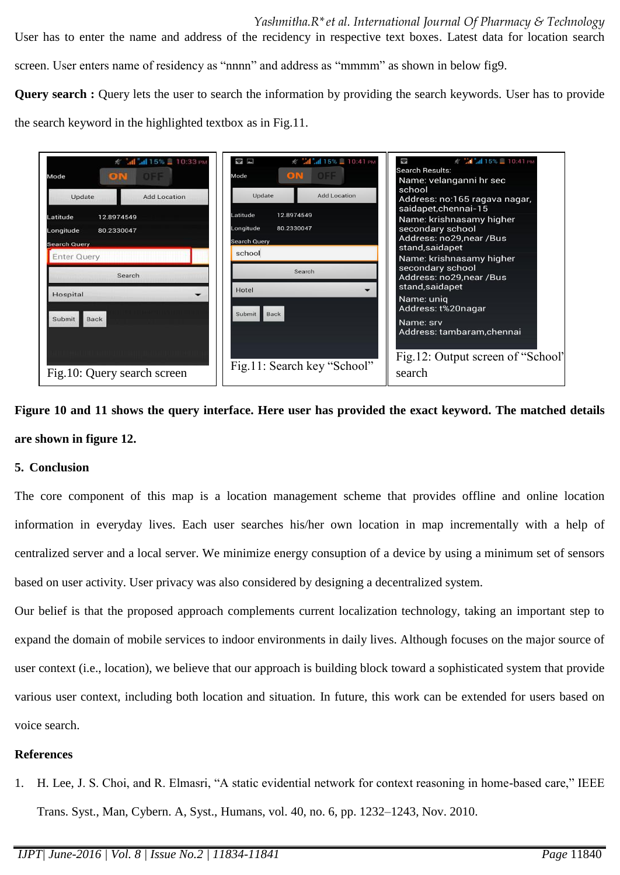User has to enter the name and address of the recidency in respective text boxes. Latest data for location search screen. User enters name of residency as "nnnn" and address as "mmmm" as shown in below fig9.

**Query search** : Query lets the user to search the information by providing the search keywords. User has to provide

the search keyword in the highlighted textbox as in Fig.11.

| <del>≰ <mark>"d</mark> "d 15%</del> <u>В</u> 10:33 PM<br>ON OF<br>Mode             | S M 41 15% 10:41 PM<br>$\Rightarrow$<br><b>DOFF</b><br>ON<br>Mode                  | ☆ "al "al 15% ■ 10:41 PM<br>$\blacklozenge$<br><b>Search Results:</b><br>Name: velanganni hr sec                                            |
|------------------------------------------------------------------------------------|------------------------------------------------------------------------------------|---------------------------------------------------------------------------------------------------------------------------------------------|
| Update<br><b>Add Location</b><br>Latitude<br>12.8974549<br>Longitude<br>80.2330047 | <b>Add Location</b><br>Update<br>12.8974549<br>Latitude<br>Longitude<br>80.2330047 | school<br>Address: no:165 ragava nagar,<br>saidapet, chennai-15<br>Name: krishnasamy higher<br>secondary school<br>Address: no29, near /Bus |
| Search Query<br><b>Enter Query</b><br>Search                                       | <b>Search Query</b><br>school<br>Search<br>Hotel<br>$\overline{\phantom{0}}$       | stand, saidapet<br>Name: krishnasamy higher<br>secondary school<br>Address: no29,near /Bus<br>stand, saidapet                               |
| Hospital<br>Submit<br>Back                                                         | Back<br>Submit                                                                     | Name: uniq<br>Address: t%20nagar<br>Name: srv<br>Address: tambaram, chennai                                                                 |
| Fig.10: Query search screen                                                        | Fig.11: Search key "School"                                                        | Fig.12: Output screen of "School"<br>search                                                                                                 |

**Figure 10 and 11 shows the query interface. Here user has provided the exact keyword. The matched details are shown in figure 12.** 

## **5. Conclusion**

The core component of this map is a location management scheme that provides offline and online location information in everyday lives. Each user searches his/her own location in map incrementally with a help of centralized server and a local server. We minimize energy consuption of a device by using a minimum set of sensors based on user activity. User privacy was also considered by designing a decentralized system.

Our belief is that the proposed approach complements current localization technology, taking an important step to expand the domain of mobile services to indoor environments in daily lives. Although focuses on the major source of user context (i.e., location), we believe that our approach is building block toward a sophisticated system that provide various user context, including both location and situation. In future, this work can be extended for users based on voice search.

## **References**

1. H. Lee, J. S. Choi, and R. Elmasri, "A static evidential network for context reasoning in home-based care," IEEE Trans. Syst., Man, Cybern. A, Syst., Humans, vol. 40, no. 6, pp. 1232–1243, Nov. 2010.